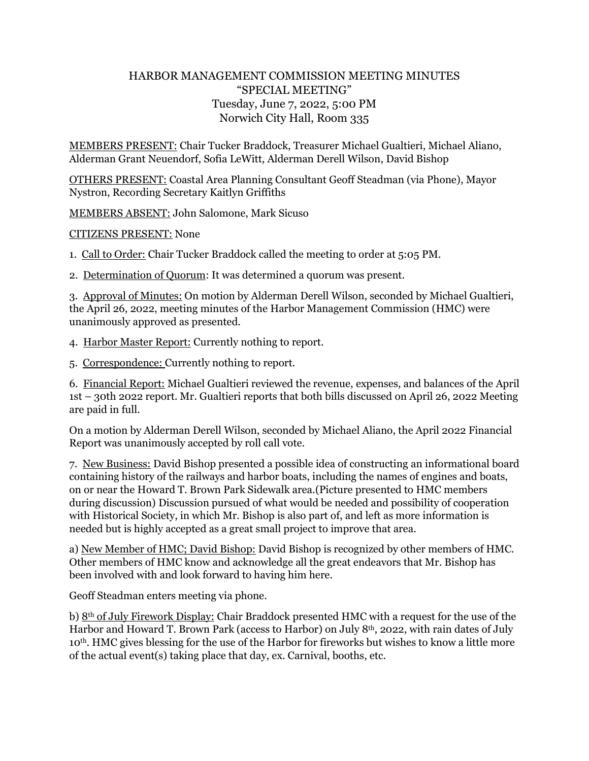## HARBOR MANAGEMENT COMMISSION MEETING MINUTES "SPECIAL MEETING" Tuesday, June 7, 2022, 5:00 PM Norwich City Hall, Room 335

MEMBERS PRESENT: Chair Tucker Braddock, Treasurer Michael Gualtieri, Michael Aliano, Alderman Grant Neuendorf, Sofia LeWitt, Alderman Derell Wilson, David Bishop

OTHERS PRESENT: Coastal Area Planning Consultant Geoff Steadman (via Phone), Mayor Nystron, Recording Secretary Kaitlyn Griffiths

MEMBERS ABSENT: John Salomone, Mark Sicuso

CITIZENS PRESENT: None

1. Call to Order: Chair Tucker Braddock called the meeting to order at 5:05 PM.

2. Determination of Quorum: It was determined a quorum was present.

3. Approval of Minutes: On motion by Alderman Derell Wilson, seconded by Michael Gualtieri, the April 26, 2022, meeting minutes of the Harbor Management Commission (HMC) were unanimously approved as presented.

4. Harbor Master Report: Currently nothing to report.

5. Correspondence: Currently nothing to report.

6. Financial Report: Michael Gualtieri reviewed the revenue, expenses, and balances of the April 1st – 30th 2022 report. Mr. Gualtieri reports that both bills discussed on April 26, 2022 Meeting are paid in full.

On a motion by Alderman Derell Wilson, seconded by Michael Aliano, the April 2022 Financial Report was unanimously accepted by roll call vote.

7. New Business: David Bishop presented a possible idea of constructing an informational board containing history of the railways and harbor boats, including the names of engines and boats, on or near the Howard T. Brown Park Sidewalk area.(Picture presented to HMC members during discussion) Discussion pursued of what would be needed and possibility of cooperation with Historical Society, in which Mr. Bishop is also part of, and left as more information is needed but is highly accepted as a great small project to improve that area.

a) New Member of HMC; David Bishop: David Bishop is recognized by other members of HMC. Other members of HMC know and acknowledge all the great endeavors that Mr. Bishop has been involved with and look forward to having him here.

Geoff Steadman enters meeting via phone.

b)  $8<sup>th</sup>$  of July Firework Display: Chair Braddock presented HMC with a request for the use of the Harbor and Howard T. Brown Park (access to Harbor) on July 8<sup>th</sup>, 2022, with rain dates of July 10th. HMC gives blessing for the use of the Harbor for fireworks but wishes to know a little more of the actual event(s) taking place that day, ex. Carnival, booths, etc.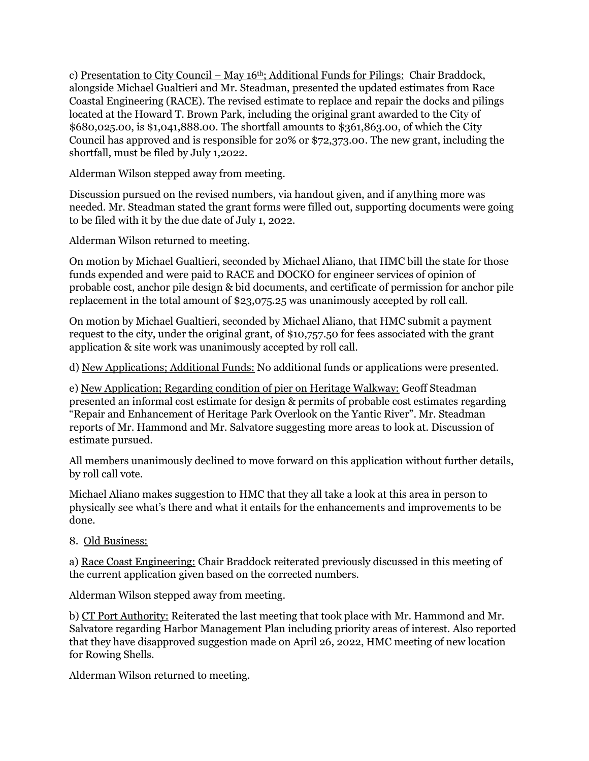c) Presentation to City Council – May 16<sup>th</sup>; Additional Funds for Pilings: Chair Braddock, alongside Michael Gualtieri and Mr. Steadman, presented the updated estimates from Race Coastal Engineering (RACE). The revised estimate to replace and repair the docks and pilings located at the Howard T. Brown Park, including the original grant awarded to the City of \$680,025.00, is \$1,041,888.00. The shortfall amounts to \$361,863.00, of which the City Council has approved and is responsible for 20% or \$72,373.00. The new grant, including the shortfall, must be filed by July 1,2022.

Alderman Wilson stepped away from meeting.

Discussion pursued on the revised numbers, via handout given, and if anything more was needed. Mr. Steadman stated the grant forms were filled out, supporting documents were going to be filed with it by the due date of July 1, 2022.

Alderman Wilson returned to meeting.

On motion by Michael Gualtieri, seconded by Michael Aliano, that HMC bill the state for those funds expended and were paid to RACE and DOCKO for engineer services of opinion of probable cost, anchor pile design & bid documents, and certificate of permission for anchor pile replacement in the total amount of \$23,075.25 was unanimously accepted by roll call.

On motion by Michael Gualtieri, seconded by Michael Aliano, that HMC submit a payment request to the city, under the original grant, of \$10,757.50 for fees associated with the grant application & site work was unanimously accepted by roll call.

d) New Applications; Additional Funds: No additional funds or applications were presented.

e) New Application; Regarding condition of pier on Heritage Walkway: Geoff Steadman presented an informal cost estimate for design & permits of probable cost estimates regarding "Repair and Enhancement of Heritage Park Overlook on the Yantic River". Mr. Steadman reports of Mr. Hammond and Mr. Salvatore suggesting more areas to look at. Discussion of estimate pursued.

All members unanimously declined to move forward on this application without further details, by roll call vote.

Michael Aliano makes suggestion to HMC that they all take a look at this area in person to physically see what's there and what it entails for the enhancements and improvements to be done.

8. Old Business:

a) Race Coast Engineering: Chair Braddock reiterated previously discussed in this meeting of the current application given based on the corrected numbers.

Alderman Wilson stepped away from meeting.

b) CT Port Authority: Reiterated the last meeting that took place with Mr. Hammond and Mr. Salvatore regarding Harbor Management Plan including priority areas of interest. Also reported that they have disapproved suggestion made on April 26, 2022, HMC meeting of new location for Rowing Shells.

Alderman Wilson returned to meeting.